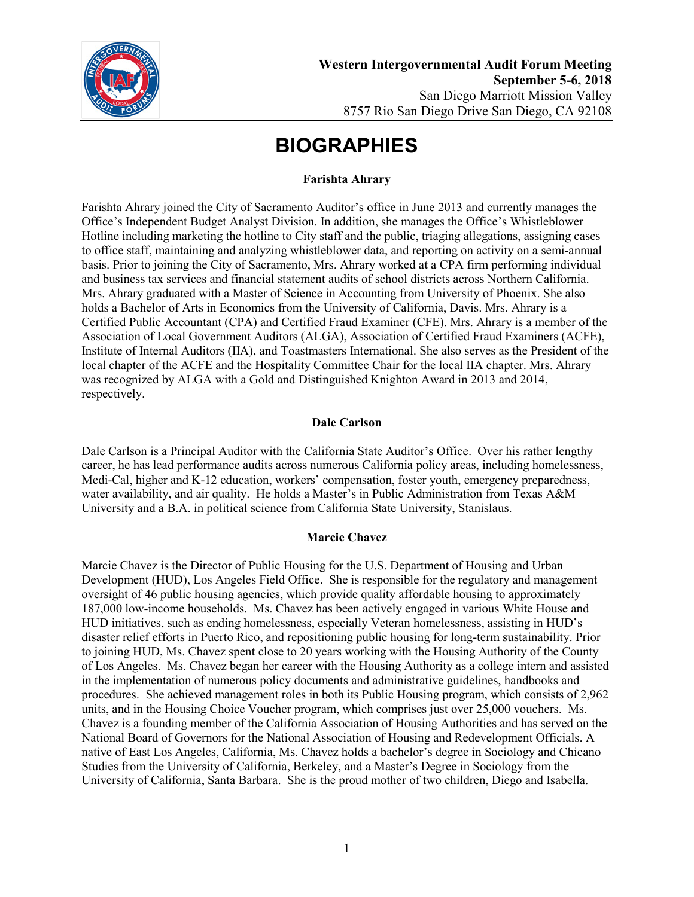

#### **Farishta Ahrary**

Farishta Ahrary joined the City of Sacramento Auditor's office in June 2013 and currently manages the Office's Independent Budget Analyst Division. In addition, she manages the Office's Whistleblower Hotline including marketing the hotline to City staff and the public, triaging allegations, assigning cases to office staff, maintaining and analyzing whistleblower data, and reporting on activity on a semi-annual basis. Prior to joining the City of Sacramento, Mrs. Ahrary worked at a CPA firm performing individual and business tax services and financial statement audits of school districts across Northern California. Mrs. Ahrary graduated with a Master of Science in Accounting from University of Phoenix. She also holds a Bachelor of Arts in Economics from the University of California, Davis. Mrs. Ahrary is a Certified Public Accountant (CPA) and Certified Fraud Examiner (CFE). Mrs. Ahrary is a member of the Association of Local Government Auditors (ALGA), Association of Certified Fraud Examiners (ACFE), Institute of Internal Auditors (IIA), and Toastmasters International. She also serves as the President of the local chapter of the ACFE and the Hospitality Committee Chair for the local IIA chapter. Mrs. Ahrary was recognized by ALGA with a Gold and Distinguished Knighton Award in 2013 and 2014, respectively.

#### **Dale Carlson**

Dale Carlson is a Principal Auditor with the California State Auditor's Office. Over his rather lengthy career, he has lead performance audits across numerous California policy areas, including homelessness, Medi-Cal, higher and K-12 education, workers' compensation, foster youth, emergency preparedness, water availability, and air quality. He holds a Master's in Public Administration from Texas A&M University and a B.A. in political science from California State University, Stanislaus.

#### **Marcie Chavez**

Marcie Chavez is the Director of Public Housing for the U.S. Department of Housing and Urban Development (HUD), Los Angeles Field Office. She is responsible for the regulatory and management oversight of 46 public housing agencies, which provide quality affordable housing to approximately 187,000 low-income households. Ms. Chavez has been actively engaged in various White House and HUD initiatives, such as ending homelessness, especially Veteran homelessness, assisting in HUD's disaster relief efforts in Puerto Rico, and repositioning public housing for long-term sustainability. Prior to joining HUD, Ms. Chavez spent close to 20 years working with the Housing Authority of the County of Los Angeles. Ms. Chavez began her career with the Housing Authority as a college intern and assisted in the implementation of numerous policy documents and administrative guidelines, handbooks and procedures. She achieved management roles in both its Public Housing program, which consists of 2,962 units, and in the Housing Choice Voucher program, which comprises just over 25,000 vouchers. Ms. Chavez is a founding member of the California Association of Housing Authorities and has served on the National Board of Governors for the National Association of Housing and Redevelopment Officials. A native of East Los Angeles, California, Ms. Chavez holds a bachelor's degree in Sociology and Chicano Studies from the University of California, Berkeley, and a Master's Degree in Sociology from the University of California, Santa Barbara. She is the proud mother of two children, Diego and Isabella.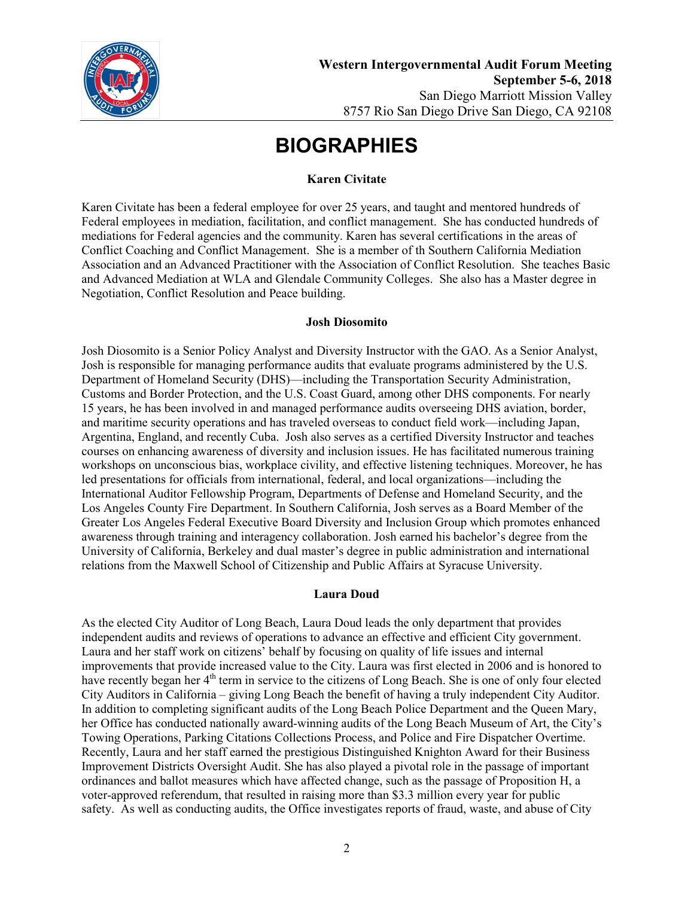

### **Karen Civitate**

Karen Civitate has been a federal employee for over 25 years, and taught and mentored hundreds of Federal employees in mediation, facilitation, and conflict management. She has conducted hundreds of mediations for Federal agencies and the community. Karen has several certifications in the areas of Conflict Coaching and Conflict Management. She is a member of th Southern California Mediation Association and an Advanced Practitioner with the Association of Conflict Resolution. She teaches Basic and Advanced Mediation at WLA and Glendale Community Colleges. She also has a Master degree in Negotiation, Conflict Resolution and Peace building.

#### **Josh Diosomito**

Josh Diosomito is a Senior Policy Analyst and Diversity Instructor with the GAO. As a Senior Analyst, Josh is responsible for managing performance audits that evaluate programs administered by the U.S. Department of Homeland Security (DHS)—including the Transportation Security Administration, Customs and Border Protection, and the U.S. Coast Guard, among other DHS components. For nearly 15 years, he has been involved in and managed performance audits overseeing DHS aviation, border, and maritime security operations and has traveled overseas to conduct field work—including Japan, Argentina, England, and recently Cuba. Josh also serves as a certified Diversity Instructor and teaches courses on enhancing awareness of diversity and inclusion issues. He has facilitated numerous training workshops on unconscious bias, workplace civility, and effective listening techniques. Moreover, he has led presentations for officials from international, federal, and local organizations—including the International Auditor Fellowship Program, Departments of Defense and Homeland Security, and the Los Angeles County Fire Department. In Southern California, Josh serves as a Board Member of the Greater Los Angeles Federal Executive Board Diversity and Inclusion Group which promotes enhanced awareness through training and interagency collaboration. Josh earned his bachelor's degree from the University of California, Berkeley and dual master's degree in public administration and international relations from the Maxwell School of Citizenship and Public Affairs at Syracuse University.

## **Laura Doud**

As the elected City Auditor of Long Beach, Laura Doud leads the only department that provides independent audits and reviews of operations to advance an effective and efficient City government. Laura and her staff work on citizens' behalf by focusing on quality of life issues and internal improvements that provide increased value to the City. Laura was first elected in 2006 and is honored to have recently began her 4<sup>th</sup> term in service to the citizens of Long Beach. She is one of only four elected City Auditors in California – giving Long Beach the benefit of having a truly independent City Auditor. In addition to completing significant audits of the Long Beach Police Department and the Queen Mary, her Office has conducted nationally award-winning audits of the Long Beach Museum of Art, the City's Towing Operations, Parking Citations Collections Process, and Police and Fire Dispatcher Overtime. Recently, Laura and her staff earned the prestigious Distinguished Knighton Award for their Business Improvement Districts Oversight Audit. She has also played a pivotal role in the passage of important ordinances and ballot measures which have affected change, such as the passage of Proposition H, a voter-approved referendum, that resulted in raising more than \$3.3 million every year for public safety. As well as conducting audits, the Office investigates reports of fraud, waste, and abuse of City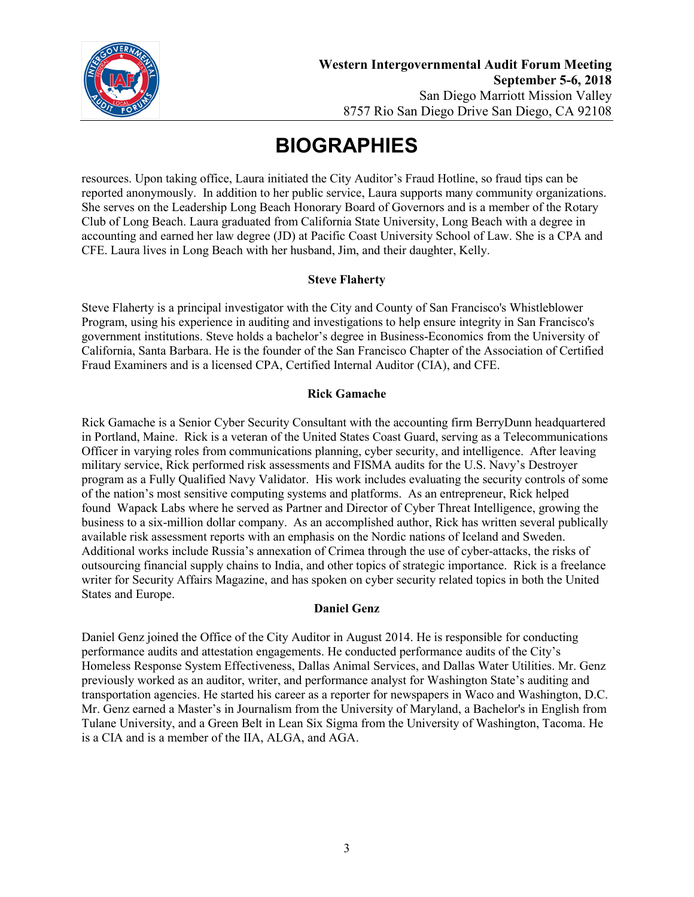

resources. Upon taking office, Laura initiated the City Auditor's Fraud Hotline, so fraud tips can be reported anonymously. In addition to her public service, Laura supports many community organizations. She serves on the Leadership Long Beach Honorary Board of Governors and is a member of the Rotary Club of Long Beach. Laura graduated from California State University, Long Beach with a degree in accounting and earned her law degree (JD) at Pacific Coast University School of Law. She is a CPA and CFE. Laura lives in Long Beach with her husband, Jim, and their daughter, Kelly.

## **Steve Flaherty**

Steve Flaherty is a principal investigator with the City and County of San Francisco's Whistleblower Program, using his experience in auditing and investigations to help ensure integrity in San Francisco's government institutions. Steve holds a bachelor's degree in Business-Economics from the University of California, Santa Barbara. He is the founder of the San Francisco Chapter of the Association of Certified Fraud Examiners and is a licensed CPA, Certified Internal Auditor (CIA), and CFE.

#### **Rick Gamache**

Rick Gamache is a Senior Cyber Security Consultant with the accounting firm BerryDunn headquartered in Portland, Maine. Rick is a veteran of the United States Coast Guard, serving as a Telecommunications Officer in varying roles from communications planning, cyber security, and intelligence. After leaving military service, Rick performed risk assessments and FISMA audits for the U.S. Navy's Destroyer program as a Fully Qualified Navy Validator. His work includes evaluating the security controls of some of the nation's most sensitive computing systems and platforms. As an entrepreneur, Rick helped found Wapack Labs where he served as Partner and Director of Cyber Threat Intelligence, growing the business to a six-million dollar company. As an accomplished author, Rick has written several publically available risk assessment reports with an emphasis on the Nordic nations of Iceland and Sweden. Additional works include Russia's annexation of Crimea through the use of cyber-attacks, the risks of outsourcing financial supply chains to India, and other topics of strategic importance. Rick is a freelance writer for Security Affairs Magazine, and has spoken on cyber security related topics in both the United States and Europe.

#### **Daniel Genz**

Daniel Genz joined the Office of the City Auditor in August 2014. He is responsible for conducting performance audits and attestation engagements. He conducted performance audits of the City's Homeless Response System Effectiveness, Dallas Animal Services, and Dallas Water Utilities. Mr. Genz previously worked as an auditor, writer, and performance analyst for Washington State's auditing and transportation agencies. He started his career as a reporter for newspapers in Waco and Washington, D.C. Mr. Genz earned a Master's in Journalism from the University of Maryland, a Bachelor's in English from Tulane University, and a Green Belt in Lean Six Sigma from the University of Washington, Tacoma. He is a CIA and is a member of the IIA, ALGA, and AGA.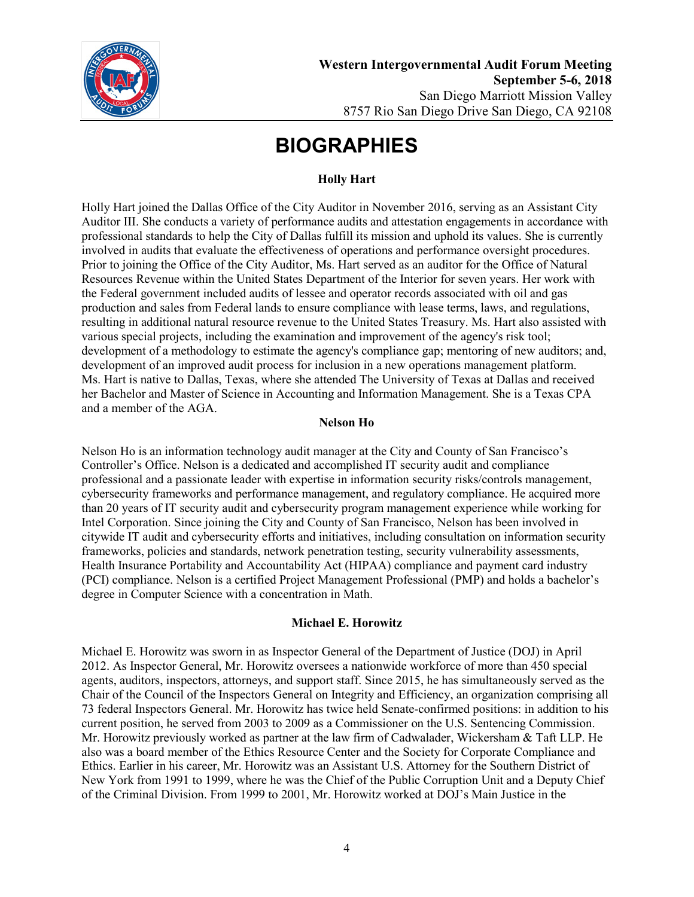

# **Holly Hart**

Holly Hart joined the Dallas Office of the City Auditor in November 2016, serving as an Assistant City Auditor III. She conducts a variety of performance audits and attestation engagements in accordance with professional standards to help the City of Dallas fulfill its mission and uphold its values. She is currently involved in audits that evaluate the effectiveness of operations and performance oversight procedures. Prior to joining the Office of the City Auditor, Ms. Hart served as an auditor for the Office of Natural Resources Revenue within the United States Department of the Interior for seven years. Her work with the Federal government included audits of lessee and operator records associated with oil and gas production and sales from Federal lands to ensure compliance with lease terms, laws, and regulations, resulting in additional natural resource revenue to the United States Treasury. Ms. Hart also assisted with various special projects, including the examination and improvement of the agency's risk tool; development of a methodology to estimate the agency's compliance gap; mentoring of new auditors; and, development of an improved audit process for inclusion in a new operations management platform. Ms. Hart is native to Dallas, Texas, where she attended The University of Texas at Dallas and received her Bachelor and Master of Science in Accounting and Information Management. She is a Texas CPA and a member of the AGA.

#### **Nelson Ho**

Nelson Ho is an information technology audit manager at the City and County of San Francisco's Controller's Office. Nelson is a dedicated and accomplished IT security audit and compliance professional and a passionate leader with expertise in information security risks/controls management, cybersecurity frameworks and performance management, and regulatory compliance. He acquired more than 20 years of IT security audit and cybersecurity program management experience while working for Intel Corporation. Since joining the City and County of San Francisco, Nelson has been involved in citywide IT audit and cybersecurity efforts and initiatives, including consultation on information security frameworks, policies and standards, network penetration testing, security vulnerability assessments, Health Insurance Portability and Accountability Act (HIPAA) compliance and payment card industry (PCI) compliance. Nelson is a certified Project Management Professional (PMP) and holds a bachelor's degree in Computer Science with a concentration in Math.

## **Michael E. Horowitz**

Michael E. Horowitz was sworn in as Inspector General of the Department of Justice (DOJ) in April 2012. As Inspector General, Mr. Horowitz oversees a nationwide workforce of more than 450 special agents, auditors, inspectors, attorneys, and support staff. Since 2015, he has simultaneously served as the Chair of the Council of the Inspectors General on Integrity and Efficiency, an organization comprising all 73 federal Inspectors General. Mr. Horowitz has twice held Senate-confirmed positions: in addition to his current position, he served from 2003 to 2009 as a Commissioner on the U.S. Sentencing Commission. Mr. Horowitz previously worked as partner at the law firm of Cadwalader, Wickersham & Taft LLP. He also was a board member of the Ethics Resource Center and the Society for Corporate Compliance and Ethics. Earlier in his career, Mr. Horowitz was an Assistant U.S. Attorney for the Southern District of New York from 1991 to 1999, where he was the Chief of the Public Corruption Unit and a Deputy Chief of the Criminal Division. From 1999 to 2001, Mr. Horowitz worked at DOJ's Main Justice in the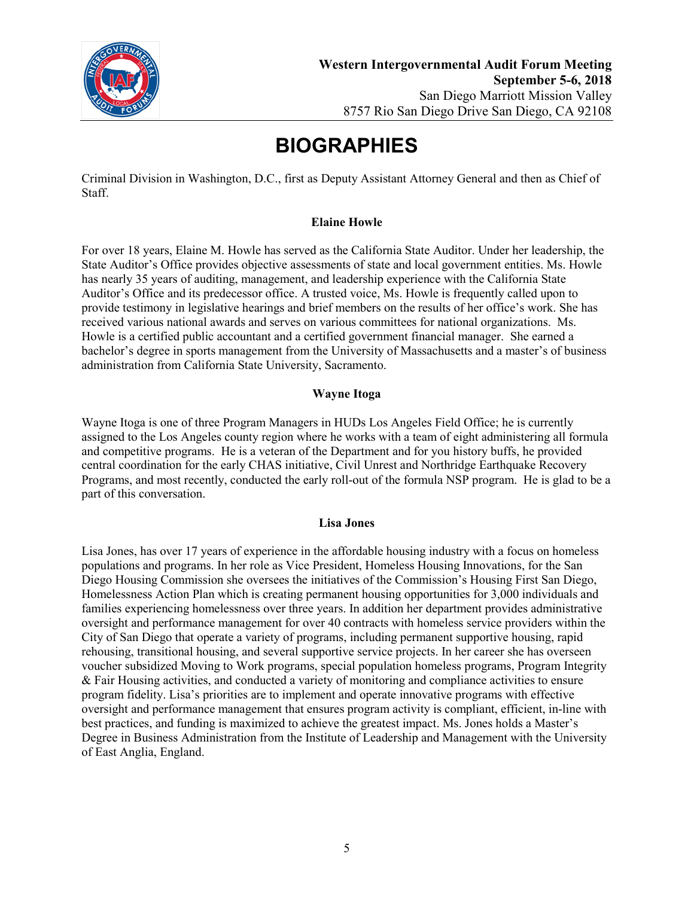

Criminal Division in Washington, D.C., first as Deputy Assistant Attorney General and then as Chief of Staff.

### **Elaine Howle**

For over 18 years, Elaine M. Howle has served as the California State Auditor. Under her leadership, the State Auditor's Office provides objective assessments of state and local government entities. Ms. Howle has nearly 35 years of auditing, management, and leadership experience with the California State Auditor's Office and its predecessor office. A trusted voice, Ms. Howle is frequently called upon to provide testimony in legislative hearings and brief members on the results of her office's work. She has received various national awards and serves on various committees for national organizations. Ms. Howle is a certified public accountant and a certified government financial manager. She earned a bachelor's degree in sports management from the University of Massachusetts and a master's of business administration from California State University, Sacramento.

#### **Wayne Itoga**

Wayne Itoga is one of three Program Managers in HUDs Los Angeles Field Office; he is currently assigned to the Los Angeles county region where he works with a team of eight administering all formula and competitive programs. He is a veteran of the Department and for you history buffs, he provided central coordination for the early CHAS initiative, Civil Unrest and Northridge Earthquake Recovery Programs, and most recently, conducted the early roll-out of the formula NSP program. He is glad to be a part of this conversation.

#### **Lisa Jones**

Lisa Jones, has over 17 years of experience in the affordable housing industry with a focus on homeless populations and programs. In her role as Vice President, Homeless Housing Innovations, for the San Diego Housing Commission she oversees the initiatives of the Commission's Housing First San Diego, Homelessness Action Plan which is creating permanent housing opportunities for 3,000 individuals and families experiencing homelessness over three years. In addition her department provides administrative oversight and performance management for over 40 contracts with homeless service providers within the City of San Diego that operate a variety of programs, including permanent supportive housing, rapid rehousing, transitional housing, and several supportive service projects. In her career she has overseen voucher subsidized Moving to Work programs, special population homeless programs, Program Integrity & Fair Housing activities, and conducted a variety of monitoring and compliance activities to ensure program fidelity. Lisa's priorities are to implement and operate innovative programs with effective oversight and performance management that ensures program activity is compliant, efficient, in-line with best practices, and funding is maximized to achieve the greatest impact. Ms. Jones holds a Master's Degree in Business Administration from the Institute of Leadership and Management with the University of East Anglia, England.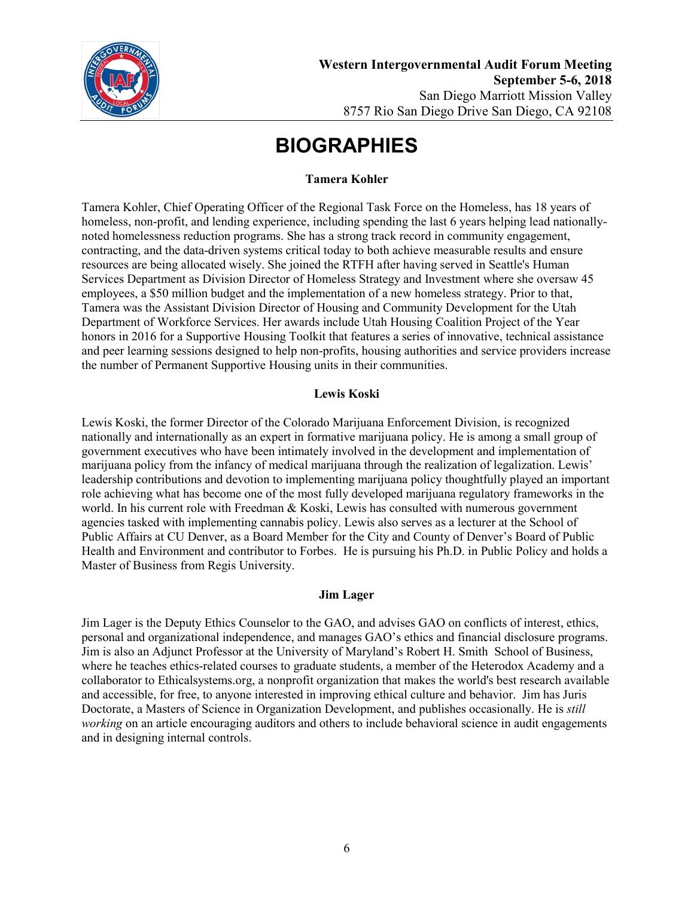

### **Tamera Kohler**

Tamera Kohler, Chief Operating Officer of the Regional Task Force on the Homeless, has 18 years of homeless, non-profit, and lending experience, including spending the last 6 years helping lead nationallynoted homelessness reduction programs. She has a strong track record in community engagement, contracting, and the data-driven systems critical today to both achieve measurable results and ensure resources are being allocated wisely. She joined the RTFH after having served in Seattle's Human Services Department as Division Director of Homeless Strategy and Investment where she oversaw 45 employees, a \$50 million budget and the implementation of a new homeless strategy. Prior to that, Tamera was the Assistant Division Director of Housing and Community Development for the Utah Department of Workforce Services. Her awards include Utah Housing Coalition Project of the Year honors in 2016 for a Supportive Housing Toolkit that features a series of innovative, technical assistance and peer learning sessions designed to help non-profits, housing authorities and service providers increase the number of Permanent Supportive Housing units in their communities.

## **Lewis Koski**

Lewis Koski, the former Director of the Colorado Marijuana Enforcement Division, is recognized nationally and internationally as an expert in formative marijuana policy. He is among a small group of government executives who have been intimately involved in the development and implementation of marijuana policy from the infancy of medical marijuana through the realization of legalization. Lewis' leadership contributions and devotion to implementing marijuana policy thoughtfully played an important role achieving what has become one of the most fully developed marijuana regulatory frameworks in the world. In his current role with Freedman & Koski, Lewis has consulted with numerous government agencies tasked with implementing cannabis policy. Lewis also serves as a lecturer at the School of Public Affairs at CU Denver, as a Board Member for the City and County of Denver's Board of Public Health and Environment and contributor to Forbes. He is pursuing his Ph.D. in Public Policy and holds a Master of Business from Regis University.

#### **Jim Lager**

Jim Lager is the Deputy Ethics Counselor to the GAO, and advises GAO on conflicts of interest, ethics, personal and organizational independence, and manages GAO's ethics and financial disclosure programs. Jim is also an Adjunct Professor at the University of Maryland's Robert H. Smith School of Business, where he teaches ethics-related courses to graduate students, a member of the Heterodox Academy and a collaborator to Ethicalsystems.org, a nonprofit organization that makes the world's best research available and accessible, for free, to anyone interested in improving ethical culture and behavior. Jim has Juris Doctorate, a Masters of Science in Organization Development, and publishes occasionally. He is *still working* on an article encouraging auditors and others to include behavioral science in audit engagements and in designing internal controls.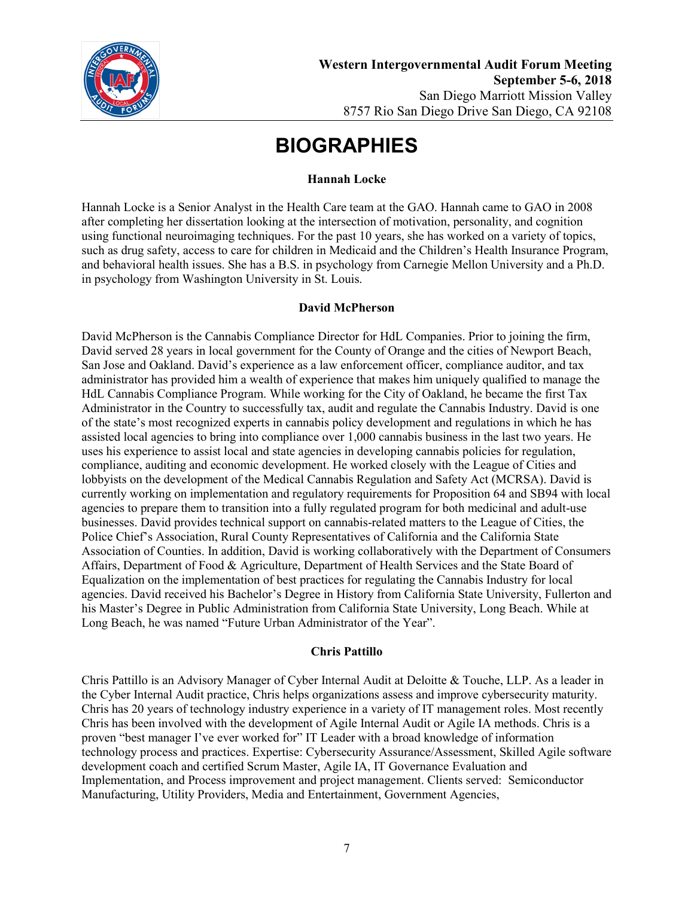

### **Hannah Locke**

Hannah Locke is a Senior Analyst in the Health Care team at the GAO. Hannah came to GAO in 2008 after completing her dissertation looking at the intersection of motivation, personality, and cognition using functional neuroimaging techniques. For the past 10 years, she has worked on a variety of topics, such as drug safety, access to care for children in Medicaid and the Children's Health Insurance Program, and behavioral health issues. She has a B.S. in psychology from Carnegie Mellon University and a Ph.D. in psychology from Washington University in St. Louis.

#### **David McPherson**

David McPherson is the Cannabis Compliance Director for HdL Companies. Prior to joining the firm, David served 28 years in local government for the County of Orange and the cities of Newport Beach, San Jose and Oakland. David's experience as a law enforcement officer, compliance auditor, and tax administrator has provided him a wealth of experience that makes him uniquely qualified to manage the HdL Cannabis Compliance Program. While working for the City of Oakland, he became the first Tax Administrator in the Country to successfully tax, audit and regulate the Cannabis Industry. David is one of the state's most recognized experts in cannabis policy development and regulations in which he has assisted local agencies to bring into compliance over 1,000 cannabis business in the last two years. He uses his experience to assist local and state agencies in developing cannabis policies for regulation, compliance, auditing and economic development. He worked closely with the League of Cities and lobbyists on the development of the Medical Cannabis Regulation and Safety Act (MCRSA). David is currently working on implementation and regulatory requirements for Proposition 64 and SB94 with local agencies to prepare them to transition into a fully regulated program for both medicinal and adult-use businesses. David provides technical support on cannabis-related matters to the League of Cities, the Police Chief's Association, Rural County Representatives of California and the California State Association of Counties. In addition, David is working collaboratively with the Department of Consumers Affairs, Department of Food & Agriculture, Department of Health Services and the State Board of Equalization on the implementation of best practices for regulating the Cannabis Industry for local agencies. David received his Bachelor's Degree in History from California State University, Fullerton and his Master's Degree in Public Administration from California State University, Long Beach. While at Long Beach, he was named "Future Urban Administrator of the Year".

## **Chris Pattillo**

Chris Pattillo is an Advisory Manager of Cyber Internal Audit at Deloitte & Touche, LLP. As a leader in the Cyber Internal Audit practice, Chris helps organizations assess and improve cybersecurity maturity. Chris has 20 years of technology industry experience in a variety of IT management roles. Most recently Chris has been involved with the development of Agile Internal Audit or Agile IA methods. Chris is a proven "best manager I've ever worked for" IT Leader with a broad knowledge of information technology process and practices. Expertise: Cybersecurity Assurance/Assessment, Skilled Agile software development coach and certified Scrum Master, Agile IA, IT Governance Evaluation and Implementation, and Process improvement and project management. Clients served: Semiconductor Manufacturing, Utility Providers, Media and Entertainment, Government Agencies,